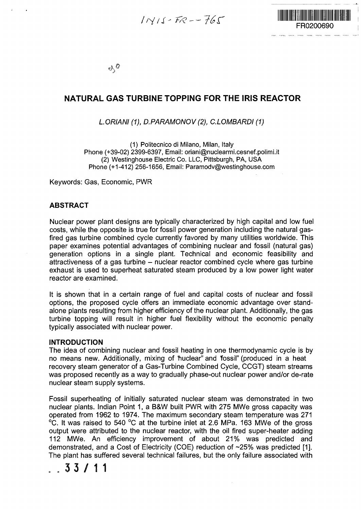$INIS-FR--F65$ 



 $\alpha^0$ 

# **NATURAL GAS TURBINE TOPPING FOR THE IRIS REACTOR**

# LORIANI (1), D.PARAMONOV (2), C.LOMBARDI (1)

(1) Politecnico di Milano, Milan, Italy Phone (+39-02) 2399-6397, Email: oriani@nuclearmi.cesnef.polimi.it (2) Westinghouse Electric Co. LLC, Pittsburgh, PA, USA Phone (+1-412) 256-1656, Email: Paramodv@westinghouse.com

Keywords: Gas, Economic, PWR

#### **ABSTRACT**

Nuclear power plant designs are typically characterized by high capital and low fuel costs, while the opposite is true for fossil power generation including the natural gasfired gas turbine combined cycle currently favored by many utilities worldwide. This paper examines potential advantages of combining nuclear and fossil (natural gas) generation options in a single plant. Technical and economic feasibility and attractiveness of a gas turbine - nuclear reactor combined cycle where gas turbine exhaust is used to superheat saturated steam produced by a low power light water reactor are examined.

It is shown that in a certain range of fuel and capital costs of nuclear and fossil options, the proposed cycle offers an immediate economic advantage over standalone plants resulting from higher efficiency of the nuclear plant. Additionally, the gas turbine topping will result in higher fuel flexibility without the economic penalty typically associated with nuclear power.

#### **INTRODUCTION**

The idea of combining nuclear and fossil heating in one thermodynamic cycle is by no means new. Additionally, mixing of 'huclear" and 'fossil" (produced in a heat recovery steam generator of a Gas-Turbine Combined Cycle, CCGT) steam streams was proposed recently as a way to gradually phase-out nuclear power and/or de-rate nuclear steam supply systems.

Fossil superheating of initially saturated nuclear steam was demonstrated in two nuclear plants. Indian Point 1, a B&W built PWR with 275 MWe gross capacity was operated from 1962 to 1974. The maximum secondary steam temperature was 271 °C. It was raised to 540 °C at the turbine inlet at 2.6 MPa. 163 MWe of the gross output were attributed to the nuclear reactor, with the oil fired super-heater adding 112 MWe. An efficiency improvement of about 21% was predicted and demonstrated, and a Cost of Electricity (COE) reduction of ~25% was predicted [1]. The plant has suffered several technical failures, but the only failure associated with

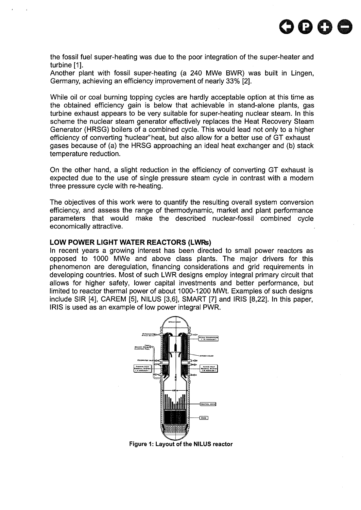

the fossil fuel super-heating was due to the poor integration of the super-heater and turbine [1].

Another plant with fossil super-heating (a 240 MWe BWR) was built in Lingen, Germany, achieving an efficiency improvement of nearly 33% [2].

While oil or coal burning topping cycles are hardly acceptable option at this time as the obtained efficiency gain is below that achievable in stand-alone plants, gas turbine exhaust appears to be very suitable for super-heating nuclear steam. In this scheme the nuclear steam generator effectively replaces the Heat Recovery Steam Generator (HRSG) boilers of a combined cycle. This would lead not only to a higher efficiency of converting "huclear" heat, but also allow for a better use of GT exhaust gases because of (a) the HRSG approaching an ideal heat exchanger and (b) stack temperature reduction.

On the other hand, a slight reduction in the efficiency of converting GT exhaust is expected due to the use of single pressure steam cycle in contrast with a modern three pressure cycle with re-heating.

The objectives of this work were to quantify the resulting overall system conversion efficiency, and assess the range of thermodynamic, market and plant performance parameters that would make the described nuclear-fossil combined cycle economically attractive.

#### **LOW POWER LIGHT WATER REACTORS (LWRs)**

In recent years a growing interest has been directed to small power reactors as opposed to 1000 MWe and above class plants. The major drivers for this phenomenon are deregulation, financing considerations and grid requirements in developing countries. Most of such LWR designs employ integral primary circuit that allows for higher safety, lower capital investments and better performance, but limited to reactor thermal power of about 1000-1200 MWt. Examples of such designs include SIR [4], CAREM [5], NILUS [3,6], SMART [7] and IRIS [8,22]. In this paper, IRIS is used as an example of low power integral PWR.



**Figure 1: Layout of the NILUS reactor**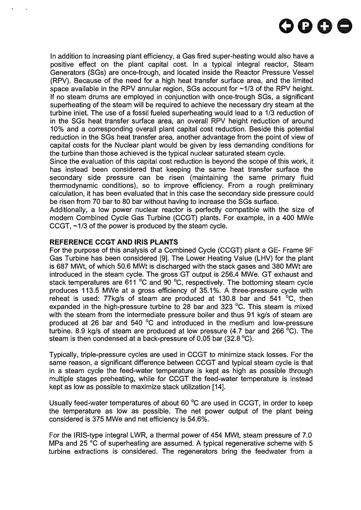

In addition to increasing plant efficiency, a Gas fired super-heating would also have a positive effect on the plant capital cost. In a typical integral reactor, Steam Generators (SGs) are once-trough, and located inside the Reactor Pressure Vessel (RPV). Because of the need for a high heat transfer surface area, and the limited space available in the RPV annular region, SGs account for  $\sim$ 1/3 of the RPV height. If no steam drums are employed in conjunction with once-trough SGs, a significant superheating of the steam will be required to achieve the necessary dry steam at the turbine inlet. The use of a fossil fueled superheating would lead to a 1/3 reduction of in the SGs heat transfer surface area, an overall RPV height reduction of around 10% and a corresponding overall plant capital cost reduction. Beside this potential reduction in the SGs heat transfer area, another advantage from the point of view of capital costs for the Nuclear plant would be given by less demanding conditions for the turbine than those achieved is the typical nuclear saturated steam cycle.

Since the evaluation of this capital cost reduction is beyond the scope of this work, it has instead been considered that keeping the same heat transfer surface the secondary side pressure can be risen (maintaining the same primary fluid thermodynamic conditions), so to improve efficiency. From a rough preliminary calculation, it has been evaluated that in this case the secondary side pressure could be risen from 70 bar to 80 bar without having to increase the SGs surface.

Additionally, a low power nuclear reactor is perfectly compatible with the size of modern Combined Cycle Gas Turbine (CCGT) plants. For example, in a 400 MWe CCGT, -1/3 of the power is produced by the steam cycle.

# **REFERENCE CCGT AND IRIS PLANTS**

For the purpose of this analysis of a Combined Cycle (CCGT) plant a GE- Frame 9F Gas Turbine has been considered [9]. The Lower Heating Value (LHV) for the plant is 687 MWt, of which 50.6 MWt is discharged with the stack gases and 380 MWt are introduced in the steam cycle. The gross GT output is 256.4 MWe. GT exhaust and stack temperatures are 611 °C and 90 °C, respectively. The bottoming steam cycle produces 113.5 MWe at a gross efficiency of 35.1%. A three-pressure cycle with reheat is used: 77kg/s of steam are produced at 130.8 bar and 541 °C, then expanded in the high-pressure turbine to 28 bar and 323 °C. This steam is mixed with the steam from the intermediate pressure boiler and thus 91 kg/s of steam are produced at 26 bar and 540 °C and introduced in the medium and low-pressure turbine. 8.9 kg/s of steam are produced at low pressure (4.7 bar and 266 °C). The steam is then condensed at a back-pressure of 0.05 bar (32.8 °C).

Typically, triple-pressure cycles are used in CCGT to minimize stack losses. For the same reason, a significant difference between CCGT and typical steam cycle is that in a steam cycle the feed-water temperature is kept as high as possible through multiple stages preheating, while for CCGT the feed-water temperature is instead kept as low as possible to maximize stack utilization [14].

Usually feed-water temperatures of about 60 °C are used in CCGT, in order to keep the temperature as low as possible. The net power output of the plant being considered is 375 MWe and net efficiency is 54.6%.

For the IRIS-type integral LWR, a thermal power of 454 MWt, steam pressure of 7.0 MPa and 25 °C of superheating are assumed. A typical regenerative scheme with 5 turbine extractions is considered. The regenerators bring the feedwater from a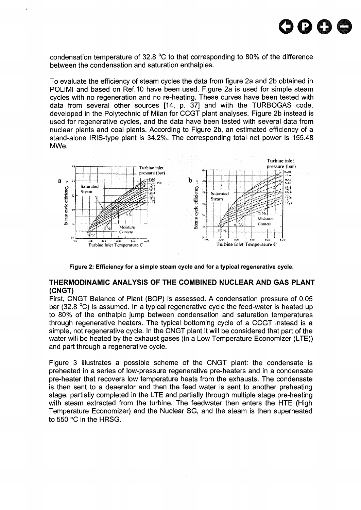

condensation temperature of 32.8 °C to that corresponding to 80% of the difference between the condensation and saturation enthalpies.

To evaluate the efficiency of steam cycles the data from figure 2a and 2b obtained in POLIMI and based on Ref.10 have been used. Figure 2a is used for simple steam cycles with no regeneration and no re-heating. These curves have been tested with data from several other sources [14, p. 37] and with the TURBOGAS code, developed in the Polytechnic of Milan for CCGT plant analyses. Figure 2b instead is used for regenerative cycles, and the data have been tested with several data from nuclear plants and coal plants. According to Figure 2b, an estimated efficiency of a stand-alone IRIS-type plant is 34.2%. The corresponding total net power is 155.48 MWe.



Figure 2: Efficiency for a simple steam cycle and for a typical regenerative cycle.

#### **THERMODINAMIC ANALYSIS OF THE COMBINED NUCLEAR AND GAS PLANT (CNGT)**

First, CNGT Balance of Plant (BOP) is assessed. A condensation pressure of 0.05 bar (32.8 °C) is assumed. In a typical regenerative cycle the feed-water is heated up to 80% of the enthalpic jump between condensation and saturation temperatures through regenerative heaters. The typical bottoming cycle of a CCGT instead is a simple, not regenerative cycle. In the CNGT plant it will be considered that part of the water will be heated by the exhaust gases (in a Low Temperature Economizer (LTE)) and part through a regenerative cycle.

Figure 3 illustrates a possible scheme of the CNGT plant: the condensate is preheated in a series of low-pressure regenerative pre-heaters and in a condensate pre-heater that recovers low temperature heats from the exhausts. The condensate is then sent to a deaerator and then the feed water is sent to another preheating stage, partially completed in the LTE and partially through multiple stage pre-heating with steam extracted from the turbine. The feedwater then enters the HTE (High Temperature Economizer) and the Nuclear SG, and the steam is then superheated to 550 °C in the HRSG.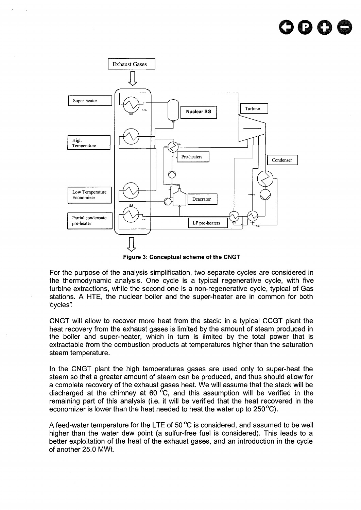

**Figure 3: Conceptual scheme of the CNGT**

For the purpose of the analysis simplification, two separate cycles are considered in the thermodynamic analysis. One cycle is a typical regenerative cycle, with five turbine extractions, while the second one is a non-regenerative cycle, typical of Gas stations. A HTE, the nuclear boiler and the super-heater are in common for both 'cycles'.'

CNGT will allow to recover more heat from the stack: in a typical CCGT plant the heat recovery from the exhaust gases is limited by the amount of steam produced in the boiler and super-heater, which in turn is limited by the total power that is extractable from the combustion products at temperatures higher than the saturation steam temperature.

In the CNGT plant the high temperatures gases are used only to super-heat the steam so that a greater amount of steam can be produced, and thus should allow for a complete recovery of the exhaust gases heat. We will assume that the stack will be discharged at the chimney at 60 $\degree$ C, and this assumption will be verified in the remaining part of this analysis (i.e. it will be verified that the heat recovered in the economizer is lower than the heat needed to heat the water up to 250 °C).

A feed-water temperature for the LTE of 50 °C is considered, and assumed to be well higher than the water dew point (a sulfur-free fuel is considered). This leads to a better exploitation of the heat of the exhaust gases, and an introduction in the cycle of another 25.0 MWt.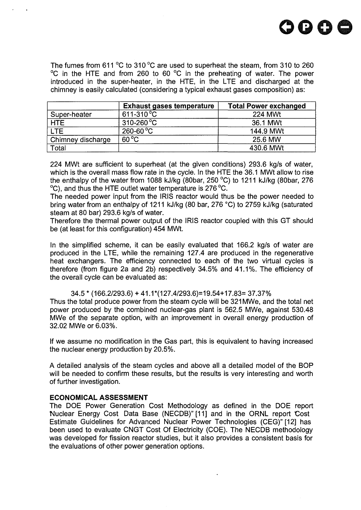

The fumes from 611 °C to 310 °C are used to superheat the steam, from 310 to 260 °C in the HTE and from 260 to 60 °C in the preheating of water. The power introduced in the super-heater, in the HTE, in the LTE and discharged at the chimney is easily calculated (considering a typical exhaust gases composition) as:

|                   | <b>Exhaust gases temperature</b> | <b>Total Power exchanged</b> |
|-------------------|----------------------------------|------------------------------|
| Super-heater      | $611 - 310^{\circ}C$             | <b>224 MWt</b>               |
| <b>HTE</b>        | $310-260$ °C                     | 36.1 MWt                     |
| <b>LTE</b>        | $260 - 60 °C$                    | 144.9 MWt                    |
| Chimney discharge | $60^{\circ}$ C                   | 25.6 MW                      |
| Total             |                                  | 430.6 MWt                    |

224 MWt are sufficient to superheat (at the given conditions) 293.6 kg/s of water, which is the overall mass flow rate in the cycle. In the HTE the 36.1 MWt allow to rise the enthalpy of the water from 1088 kJ/kg (80bar, 250 °C) to 1211 kJ/kg (80bar, 276 °C), and thus the HTE outlet water temperature is 276 °C.

The needed power input from the IRIS reactor would thus be the power needed to bring water from an enthalpy of 1211 kJ/kg (80 bar, 276 °C) to 2759 kJ/kg (saturated steam at 80 bar) 293.6 kg/s of water.

Therefore the thermal power output of the IRIS reactor coupled with this GT should be (at least for this configuration) 454 MWt.

In the simplified scheme, it can be easily evaluated that 166.2 kg/s of water are produced in the LTE, while the remaining 127.4 are produced in the regenerative heat exchangers. The efficiency connected to each of the two virtual cycles is therefore (from figure 2a and 2b) respectively 34.5% and 41.1%. The efficiency of the overall cycle can be evaluated as:

34.5 \* (166.2/293.6) + 41.1\*(127.4/293.6)=19.54+17.83= 37.37%

Thus the total produce power from the steam cycle will be 321 MWe, and the total net power produced by the combined nuclear-gas plant is 562.5 MWe, against 530.48 MWe of the separate option, with an improvement in overall energy production of 32.02 MWe or 6.03%.

If we assume no modification in the Gas part, this is equivalent to having increased the nuclear energy production by 20.5%.

A detailed analysis of the steam cycles and above all a detailed model of the BOP will be needed to confirm these results, but the results is very interesting and worth of further investigation.

# **ECONOMICAL ASSESSMENT**

The DOE Power Generation Cost Methodology as defined in the DOE report •Nuclear Energy Cost Data Base (NECDB)"[11] and in the ORNL report Cost Estimate Guidelines for Advanced Nuclear Power Technologies (CEG)"[12] has been used to evaluate CNGT Cost Of Electricity (COE). The NECDB methodology was developed for fission reactor studies, but it also provides a consistent basis for the evaluations of other power generation options.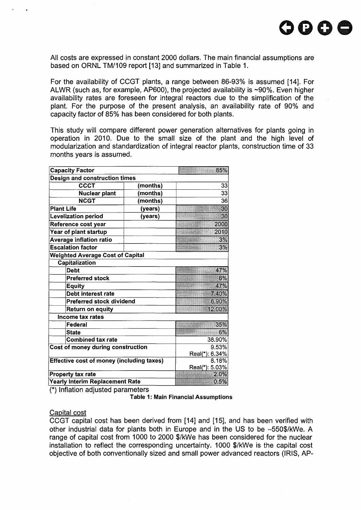All costs are expressed in constant 2000 dollars. The main financial assumptions are based on ORNL TM/109 report [13] and summarized in Table 1.

For the availability of CCGT plants, a range between 86-93% is assumed [14]. For ALWR (such as, for example, AP600), the projected availability is ~90%. Even higher availability rates are foreseen for integral reactors due to the simplification of the plant. For the purpose of the present analysis, an availability rate of 90% and capacity factor of 85% has been considered for both plants.

This study will compare different power generation alternatives for plants going in operation in 2010. Due to the small size of the plant and the high level of modularization and standardization of integral reactor plants, construction time of 33 months years is assumed.

| <b>Capacity Factor</b>                           | 85%                    |       |  |
|--------------------------------------------------|------------------------|-------|--|
| Design and construction times                    |                        |       |  |
| <b>CCCT</b>                                      | (months)               | 33    |  |
| Nuclear plant                                    | months)                | 33    |  |
| <b>NCGT</b>                                      | (months)               | 36    |  |
| <b>Plant Life</b>                                | (years)                | 30    |  |
| <b>Levelization period</b>                       | (years)                | 30    |  |
| Reference cost year                              |                        | 2000  |  |
| Year of plant startup                            |                        | 2010  |  |
| Average inflation ratio                          |                        | 3%    |  |
| <b>Escalation factor</b>                         |                        | 3%    |  |
| <b>Weighted Average Cost of Capital</b>          |                        |       |  |
| Capitalization                                   |                        |       |  |
| <b>Debt</b>                                      | 47%                    |       |  |
| <b>Preferred stock</b>                           | 6%                     |       |  |
| <b>Equity</b>                                    | 47%                    |       |  |
| Debt interest rate                               | 7.40%                  |       |  |
| <b>Preferred stock dividend</b>                  |                        | 6.90% |  |
| <b>Return on equity</b>                          | 12.00%                 |       |  |
| <b>Income tax rates</b>                          |                        |       |  |
| Federal                                          |                        | 35%   |  |
| <b>State</b>                                     | 6%                     |       |  |
| <b>Combined tax rate</b>                         | 38.90%                 |       |  |
| Cost of money during construction                | 9.53%                  |       |  |
|                                                  | Real(*): 6.34%         |       |  |
| <b>Effective cost of money (including taxes)</b> | 8.18%                  |       |  |
|                                                  | Real(*): 5.03%<br>2.0% |       |  |
| Property tax rate                                | 0.5%                   |       |  |
| <b>Yearly Interim Replacement Rate</b>           |                        |       |  |

(\*) Inflation adjusted parameters

Table 1: Main Financial Assumptions

#### Capital cost

CCGT capital cost has been derived from [14] and [15], and has been verified with other industrial data for plants both in Europe and in the US to be ~550\$/kWe. A range of capital cost from 1000 to 2000 \$/kWe has been considered for the nuclear installation to reflect the corresponding uncertainty. 1000 \$/kWe is the capital cost objective of both conventionally sized and small power advanced reactors (IRIS, AP-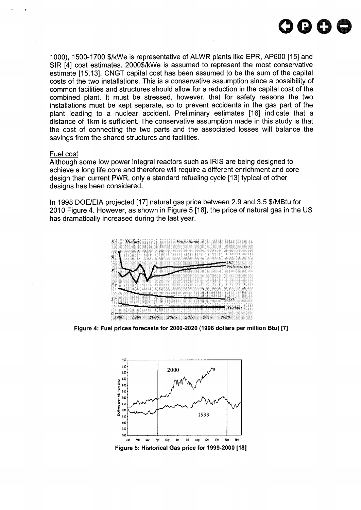

1000), 1500-1700 \$/kWe is representative of ALWR plants like EPR, AP600 [15] and SIR [4] cost estimates. 2000\$/kWe is assumed to represent the most conservative estimate [15,13]. CNGT capital cost has been assumed to be the sum of the capital costs of the two installations. This is a conservative assumption since a possibility of common facilities and structures should allow for a reduction in the capital cost of the combined plant. It must be stressed, however, that for safety reasons the two installations must be kept separate, so to prevent accidents in the gas part of the plant leading to a nuclear accident. Preliminary estimates [16] indicate that a distance of 1km is sufficient. The conservative assumption made in this study is that the cost of connecting the two parts and the associated losses will balance the savings from the shared structures and facilities.

#### Fuel cost

Although some low power integral reactors such as IRIS are being designed to achieve a long life core and therefore will require a different enrichment and core design than current PWR, only a standard refueling cycle [13] typical of other designs has been considered.

In 1998 DOE/EIA projected [17] natural gas price between 2.9 and 3.5 \$/MBtu for 2010 Figure 4. However, as shown in Figure 5 [18], the price of natural gas in the US has dramatically increased during the last year.



**Figure 4: Fuel prices forecasts for 2000-2020 (1998 dollars per million Btu) [7]**



**Figure 5: Historical Gas price for 1999-2000 [18]**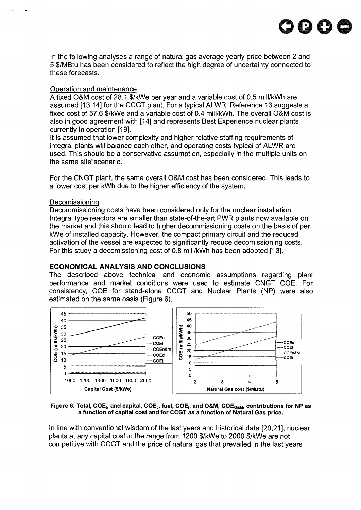

In the following analyses a range of natural gas average yearly price between 2 and 5 \$/MBtu has been considered to reflect the high degree of uncertainty connected to these forecasts.

#### Operation and maintenance

A fixed O&M cost of 28.1 \$/kWe per year and a variable cost of 0.5 mill/kWh are assumed [13,14] for the CCGT plant. For a typical ALWR, Reference 13 suggests a fixed cost of 57.6 \$/kWe and a variable cost of 0.4 mill/kWh. The overall O&M cost is also in good agreement with [14] and represents Best Experience nuclear plants currently in operation [19].

It is assumed that lower complexity and higher relative staffing requirements of integral plants will balance each other, and operating costs typical of ALWR are used. This should be a conservative assumption, especially in the 'multiple units on the same site"scenario.

For the CNGT plant, the same overall O&M cost has been considered. This leads to a lower cost per kWh due to the higher efficiency of the system.

#### Decomissioning

Decommissioning costs have been considered only for the nuclear installation. Integral type reactors are smaller than state-of-the-art PWR plants now available on the market and this should lead to higher decommissioning costs on the basis of per kWe of installed capacity. However, the compact primary circuit and the reduced activation of the vessel are expected to significantly reduce decomissioning costs. For this study a decomissioning cost of 0.8 mill/kWh has been adopted [13].

# **ECONOMICAL ANALYSIS AND CONCLUSIONS**

The described above technical and economic assumptions regarding plant performance and market conditions were used to estimate CNGT COE. For consistency, COE for stand-alone CCGT and Nuclear Plants (NP) were also estimated on the same basis (Figure 6).



 $F$ igure 6: Total, COE<sub>t</sub>, and capital, COE<sub>c</sub>, fuel, COE<sub>f</sub>, and O&M, COE<sub>O&M</sub>, contributions for NP as **a function of capital cost and for CCGT as a function of Natural Gas price.**

In line with conventional wisdom of the last years and historical data [20,21], nuclear plants at any capital cost in the range from 1200 \$/kWe to 2000 \$/kWe are not competitive with CCGT and the price of natural gas that prevailed in the last years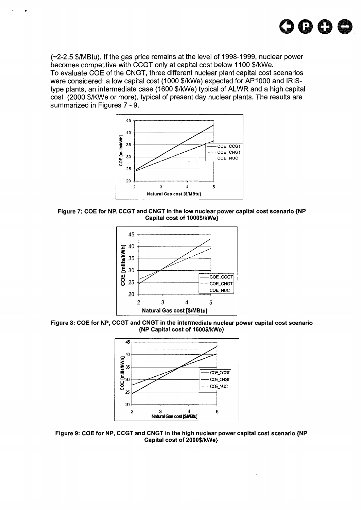

(-2-2.5 \$/MBtu). If the gas price remains at the level of 1998-1999, nuclear power becomes competitive with CCGT only at capital cost below 1100 \$/kWe. To evaluate COE of the CNGT, three different nuclear plant capital cost scenarios were considered: a low capital cost (1000 \$/kWe) expected for AP1000 and IRIStype plants, an intermediate case (1600 \$/kWe) typical of ALWR and a high capital cost (2000 \$/KWe or more), typical of present day nuclear plants. The results are summarized in Figures 7 - 9.







**Figure 8: COE for NP, CCGT and CNGT in the intermediate nuclear power capital cost scenario {NP Capital cost of 1600\$/kWe}**



**Figure 9: COE for NP, CCGT and CNGT in the high nuclear power capital cost scenario {NP Capital cost of 2000\$/kWe}**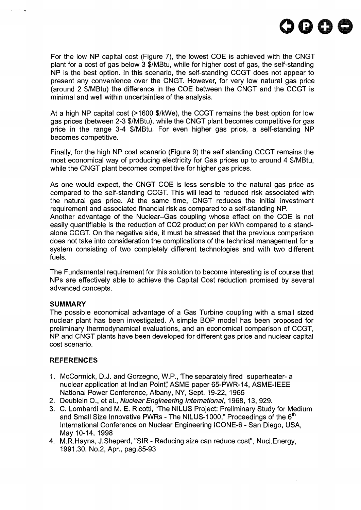

For the low NP capital cost (Figure 7), the lowest COE is achieved with the CNGT plant for a cost of gas below 3 \$/MBtu, while for higher cost of gas, the self-standing NP is the best option. In this scenario, the self-standing CCGT does not appear to present any convenience over the CNGT. However, for very low natural gas price (around 2 \$/MBtu) the difference in the COE between the CNGT and the CCGT is minimal and well within uncertainties of the analysis.

At a high NP capital cost (>1600 \$/kWe), the CCGT remains the best option for low gas prices (between 2-3 \$/MBtu), while the CNGT plant becomes competitive for gas price in the range 3-4 \$/MBtu. For even higher gas price, a self-standing NP becomes competitive.

Finally, for the high NP cost scenario (Figure 9) the self standing CCGT remains the most economical way of producing electricity for Gas prices up to around 4 \$/MBtu, while the CNGT plant becomes competitive for higher gas prices.

As one would expect, the CNGT COE is less sensible to the natural gas price as compared to the self-standing CCGT. This will lead to reduced risk associated with the natural gas price. At the same time, CNGT reduces the initial investment requirement and associated financial risk as compared to a self-standing NP. Another advantage of the Nuclear-Gas coupling whose effect on the COE is not easily quantifiable is the reduction of CO2 production per kWh compared to a standalone CCGT. On the negative side, it must be stressed that the previous comparison does not take into consideration the complications of the technical management for a system consisting of two completely different technologies and with two different fuels.

The Fundamental requirement for this solution to become interesting is of course that NPs are effectively able to achieve the Capital Cost reduction promised by several advanced concepts.

#### **SUMMARY**

 $\sim 10^{-1}$  kg

The possible economical advantage of a Gas Turbine coupling with a small sized nuclear plant has been investigated. A simple BOP model has been proposed for preliminary thermodynamical evaluations, and an economical comparison of CCGT, NP and CNGT plants have been developed for different gas price and nuclear capital cost scenario.

# **REFERENCES**

- 1. McCormick, D.J. and Gorzegno, W.P., The separately fired superheater- a nuclear application at Indian Point" ASME paper 65-PWR-14, ASME-IEEE National Power Conference, Albany, NY, Sept. 19-22, 1965
- 2. Deublein O., et al., Nuclear Engineering International, 1968, 13, 929.
- 3. C. Lombardi and M. E. Ricotti, "The NILUS Project: Preliminary Study for Medium and Small Size Innovative PWRs - The NILUS-1000," Proceedings of the  $6<sup>th</sup>$ International Conference on Nuclear Engineering ICONE-6 - San Diego, USA, May 10-14, 1998
- 4. M.R.Hayns, J.Sheperd, "SIR Reducing size can reduce cost", Nucl.Energy, 1991,30, No.2, Apr., pag.85-93